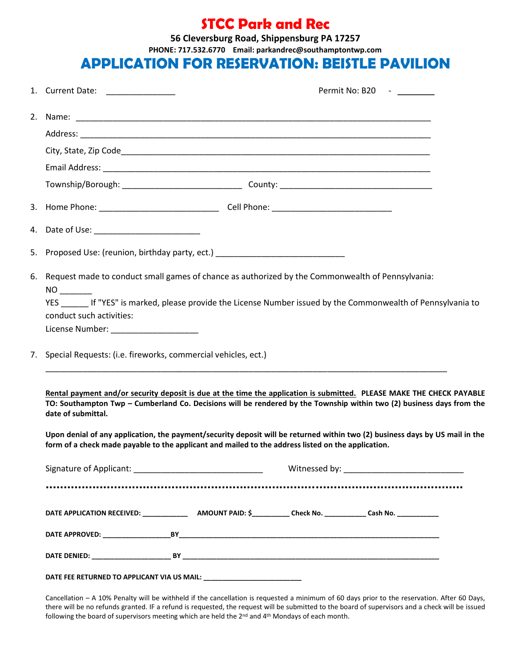#### **STCC Park and Rec**

**56 Cleversburg Road, Shippensburg PA 17257 PHONE: 717.532.6770 Email: parkandrec@southamptontwp.com**

#### APPLICATION FOR RESERVATION: **BEISTLE PAVILION**

|  | 1. Current Date: _______________                                                                                                                                                                                                                                                                                                                                                                                                                                                                           |  |  | Permit No: B20 - |  |
|--|------------------------------------------------------------------------------------------------------------------------------------------------------------------------------------------------------------------------------------------------------------------------------------------------------------------------------------------------------------------------------------------------------------------------------------------------------------------------------------------------------------|--|--|------------------|--|
|  |                                                                                                                                                                                                                                                                                                                                                                                                                                                                                                            |  |  |                  |  |
|  |                                                                                                                                                                                                                                                                                                                                                                                                                                                                                                            |  |  |                  |  |
|  |                                                                                                                                                                                                                                                                                                                                                                                                                                                                                                            |  |  |                  |  |
|  |                                                                                                                                                                                                                                                                                                                                                                                                                                                                                                            |  |  |                  |  |
|  |                                                                                                                                                                                                                                                                                                                                                                                                                                                                                                            |  |  |                  |  |
|  |                                                                                                                                                                                                                                                                                                                                                                                                                                                                                                            |  |  |                  |  |
|  | 4. Date of Use: ____________________________                                                                                                                                                                                                                                                                                                                                                                                                                                                               |  |  |                  |  |
|  | 5. Proposed Use: (reunion, birthday party, ect.) _______________________________                                                                                                                                                                                                                                                                                                                                                                                                                           |  |  |                  |  |
|  | 6. Request made to conduct small games of chance as authorized by the Commonwealth of Pennsylvania:<br>YES If "YES" is marked, please provide the License Number issued by the Commonwealth of Pennsylvania to<br>conduct such activities:<br>License Number: _____________________                                                                                                                                                                                                                        |  |  |                  |  |
|  | 7. Special Requests: (i.e. fireworks, commercial vehicles, ect.)                                                                                                                                                                                                                                                                                                                                                                                                                                           |  |  |                  |  |
|  | Rental payment and/or security deposit is due at the time the application is submitted. PLEASE MAKE THE CHECK PAYABLE<br>TO: Southampton Twp - Cumberland Co. Decisions will be rendered by the Township within two (2) business days from the<br>date of submittal.<br>Upon denial of any application, the payment/security deposit will be returned within two (2) business days by US mail in the<br>form of a check made payable to the applicant and mailed to the address listed on the application. |  |  |                  |  |
|  |                                                                                                                                                                                                                                                                                                                                                                                                                                                                                                            |  |  |                  |  |
|  |                                                                                                                                                                                                                                                                                                                                                                                                                                                                                                            |  |  |                  |  |
|  | DATE FEE RETURNED TO APPLICANT VIA US MAIL: _____________________________                                                                                                                                                                                                                                                                                                                                                                                                                                  |  |  |                  |  |

Cancellation – A 10% Penalty will be withheld if the cancellation is requested a minimum of 60 days prior to the reservation. After 60 Days, there will be no refunds granted. IF a refund is requested, the request will be submitted to the board of supervisors and a check will be issued following the board of supervisors meeting which are held the 2<sup>nd</sup> and 4<sup>th</sup> Mondays of each month.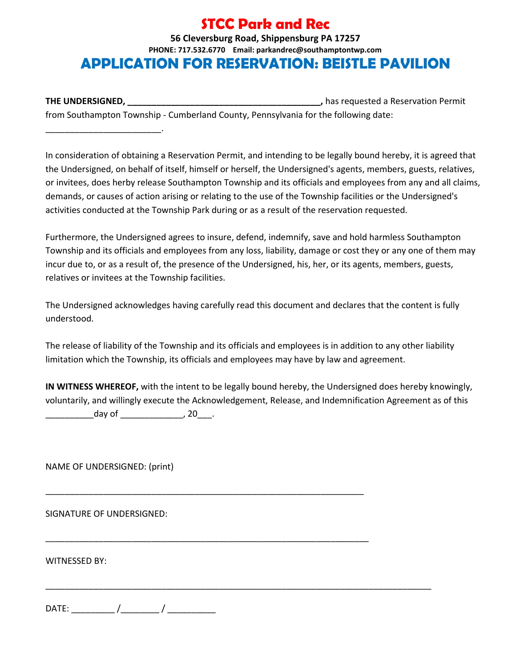## **STCC Park and Rec**

**56 Cleversburg Road, Shippensburg PA 17257 PHONE: 717.532.6770 Email: parkandrec@southamptontwp.com** APPLICATION FOR RESERVATION: **BEISTLE PAVILION**

**THE UNDERSIGNED, \_\_\_\_\_\_\_\_\_\_\_\_\_\_\_\_\_\_\_\_\_\_\_\_\_\_\_\_\_\_\_\_\_\_\_\_\_\_\_\_,** has requested a Reservation Permit from Southampton Township - Cumberland County, Pennsylvania for the following date:

In consideration of obtaining a Reservation Permit, and intending to be legally bound hereby, it is agreed that the Undersigned, on behalf of itself, himself or herself, the Undersigned's agents, members, guests, relatives, or invitees, does herby release Southampton Township and its officials and employees from any and all claims, demands, or causes of action arising or relating to the use of the Township facilities or the Undersigned's activities conducted at the Township Park during or as a result of the reservation requested.

Furthermore, the Undersigned agrees to insure, defend, indemnify, save and hold harmless Southampton Township and its officials and employees from any loss, liability, damage or cost they or any one of them may incur due to, or as a result of, the presence of the Undersigned, his, her, or its agents, members, guests, relatives or invitees at the Township facilities.

The Undersigned acknowledges having carefully read this document and declares that the content is fully understood.

The release of liability of the Township and its officials and employees is in addition to any other liability limitation which the Township, its officials and employees may have by law and agreement.

**IN WITNESS WHEREOF,** with the intent to be legally bound hereby, the Undersigned does hereby knowingly, voluntarily, and willingly execute the Acknowledgement, Release, and Indemnification Agreement as of this  $day of$  , 20

\_\_\_\_\_\_\_\_\_\_\_\_\_\_\_\_\_\_\_\_\_\_\_\_\_\_\_\_\_\_\_\_\_\_\_\_\_\_\_\_\_\_\_\_\_\_\_\_\_\_\_\_\_\_\_\_\_\_\_\_\_\_\_\_\_\_

\_\_\_\_\_\_\_\_\_\_\_\_\_\_\_\_\_\_\_\_\_\_\_\_\_\_\_\_\_\_\_\_\_\_\_\_\_\_\_\_\_\_\_\_\_\_\_\_\_\_\_\_\_\_\_\_\_\_\_\_\_\_\_\_\_\_\_

\_\_\_\_\_\_\_\_\_\_\_\_\_\_\_\_\_\_\_\_\_\_\_\_\_\_\_\_\_\_\_\_\_\_\_\_\_\_\_\_\_\_\_\_\_\_\_\_\_\_\_\_\_\_\_\_\_\_\_\_\_\_\_\_\_\_\_\_\_\_\_\_\_\_\_\_\_\_\_\_

NAME OF UNDERSIGNED: (print)

\_\_\_\_\_\_\_\_\_\_\_\_\_\_\_\_\_\_\_\_\_\_\_\_.

SIGNATURE OF UNDERSIGNED:

WITNESSED BY:

DATE: \_\_\_\_\_\_\_\_\_ /\_\_\_\_\_\_\_\_ / \_\_\_\_\_\_\_\_\_\_